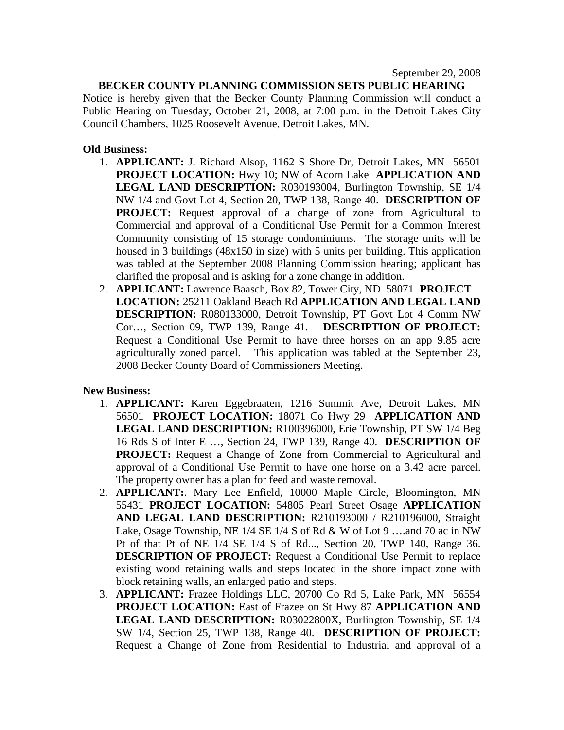#### **BECKER COUNTY PLANNING COMMISSION SETS PUBLIC HEARING**

Notice is hereby given that the Becker County Planning Commission will conduct a Public Hearing on Tuesday, October 21, 2008, at 7:00 p.m. in the Detroit Lakes City Council Chambers, 1025 Roosevelt Avenue, Detroit Lakes, MN.

## **Old Business:**

- 1. **APPLICANT:** J. Richard Alsop, 1162 S Shore Dr, Detroit Lakes, MN 56501 **PROJECT LOCATION:** Hwy 10; NW of Acorn Lake **APPLICATION AND LEGAL LAND DESCRIPTION:** R030193004, Burlington Township, SE 1/4 NW 1/4 and Govt Lot 4, Section 20, TWP 138, Range 40. **DESCRIPTION OF PROJECT:** Request approval of a change of zone from Agricultural to Commercial and approval of a Conditional Use Permit for a Common Interest Community consisting of 15 storage condominiums. The storage units will be housed in 3 buildings (48x150 in size) with 5 units per building. This application was tabled at the September 2008 Planning Commission hearing; applicant has clarified the proposal and is asking for a zone change in addition.
- 2. **APPLICANT:** Lawrence Baasch, Box 82, Tower City, ND 58071 **PROJECT LOCATION:** 25211 Oakland Beach Rd **APPLICATION AND LEGAL LAND DESCRIPTION:** R080133000, Detroit Township, PT Govt Lot 4 Comm NW Cor…, Section 09, TWP 139, Range 41. **DESCRIPTION OF PROJECT:** Request a Conditional Use Permit to have three horses on an app 9.85 acre agriculturally zoned parcel. This application was tabled at the September 23, 2008 Becker County Board of Commissioners Meeting.

#### **New Business:**

- 1. **APPLICANT:** Karen Eggebraaten, 1216 Summit Ave, Detroit Lakes, MN 56501 **PROJECT LOCATION:** 18071 Co Hwy 29 **APPLICATION AND LEGAL LAND DESCRIPTION:** R100396000, Erie Township, PT SW 1/4 Beg 16 Rds S of Inter E …, Section 24, TWP 139, Range 40. **DESCRIPTION OF PROJECT:** Request a Change of Zone from Commercial to Agricultural and approval of a Conditional Use Permit to have one horse on a 3.42 acre parcel. The property owner has a plan for feed and waste removal.
- 2. **APPLICANT:**. Mary Lee Enfield, 10000 Maple Circle, Bloomington, MN 55431 **PROJECT LOCATION:** 54805 Pearl Street Osage **APPLICATION AND LEGAL LAND DESCRIPTION:** R210193000 / R210196000, Straight Lake, Osage Township, NE 1/4 SE 1/4 S of Rd & W of Lot 9 ….and 70 ac in NW Pt of that Pt of NE 1/4 SE 1/4 S of Rd..., Section 20, TWP 140, Range 36. **DESCRIPTION OF PROJECT:** Request a Conditional Use Permit to replace existing wood retaining walls and steps located in the shore impact zone with block retaining walls, an enlarged patio and steps.
- 3. **APPLICANT:** Frazee Holdings LLC, 20700 Co Rd 5, Lake Park, MN 56554 **PROJECT LOCATION:** East of Frazee on St Hwy 87 **APPLICATION AND LEGAL LAND DESCRIPTION:** R03022800X, Burlington Township, SE 1/4 SW 1/4, Section 25, TWP 138, Range 40. **DESCRIPTION OF PROJECT:** Request a Change of Zone from Residential to Industrial and approval of a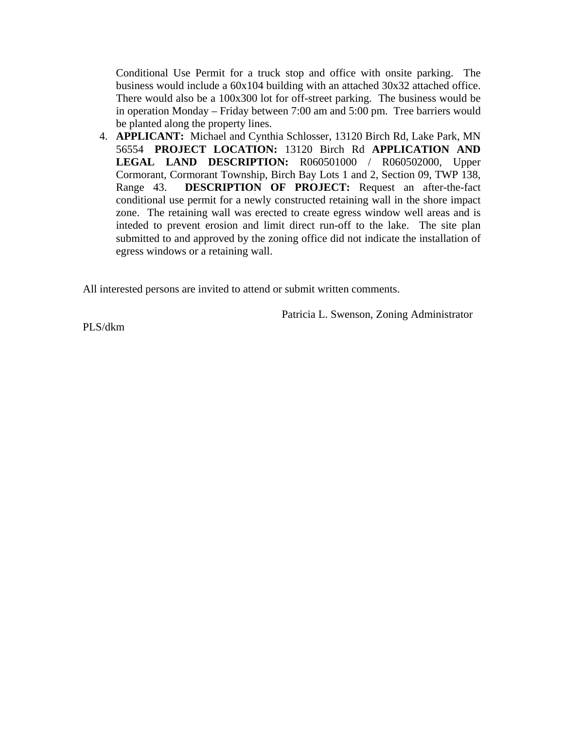Conditional Use Permit for a truck stop and office with onsite parking. The business would include a 60x104 building with an attached 30x32 attached office. There would also be a 100x300 lot for off-street parking. The business would be in operation Monday – Friday between 7:00 am and 5:00 pm. Tree barriers would be planted along the property lines.

4. **APPLICANT:** Michael and Cynthia Schlosser, 13120 Birch Rd, Lake Park, MN 56554 **PROJECT LOCATION:** 13120 Birch Rd **APPLICATION AND LEGAL LAND DESCRIPTION:** R060501000 / R060502000, Upper Cormorant, Cormorant Township, Birch Bay Lots 1 and 2, Section 09, TWP 138, Range 43. **DESCRIPTION OF PROJECT:** Request an after-the-fact conditional use permit for a newly constructed retaining wall in the shore impact zone. The retaining wall was erected to create egress window well areas and is inteded to prevent erosion and limit direct run-off to the lake. The site plan submitted to and approved by the zoning office did not indicate the installation of egress windows or a retaining wall.

All interested persons are invited to attend or submit written comments.

Patricia L. Swenson, Zoning Administrator

PLS/dkm